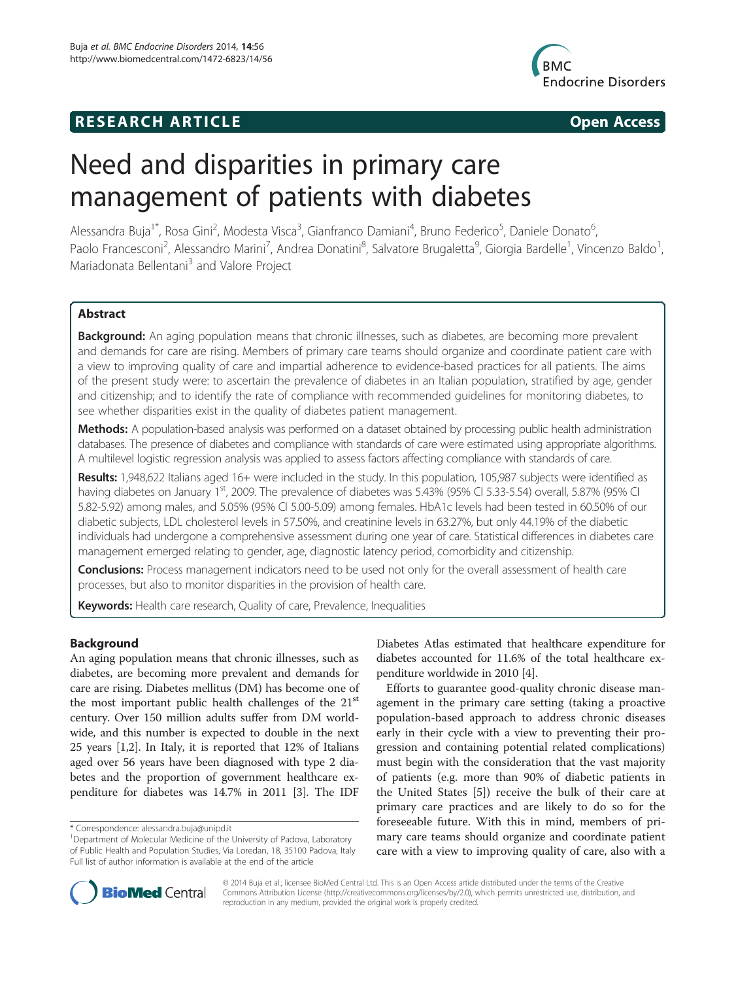# **RESEARCH ARTICLE Example 2014 CONSIDERING CONSIDERING CONSIDERING CONSIDERING CONSIDERING CONSIDERING CONSIDERING CONSIDERING CONSIDERING CONSIDERING CONSIDERING CONSIDERING CONSIDERING CONSIDERING CONSIDERING CONSIDE**



# Need and disparities in primary care management of patients with diabetes

Alessandra Buja<sup>1\*</sup>, Rosa Gini<sup>2</sup>, Modesta Visca<sup>3</sup>, Gianfranco Damiani<sup>4</sup>, Bruno Federico<sup>5</sup>, Daniele Donato<sup>6</sup> , Paolo Francesconi<sup>2</sup>, Alessandro Marini<sup>7</sup>, Andrea Donatini<sup>8</sup>, Salvatore Brugaletta<sup>9</sup>, Giorgia Bardelle<sup>1</sup>, Vincenzo Baldo<sup>1</sup> , Mariadonata Bellentani<sup>3</sup> and Valore Project

# Abstract

**Background:** An aging population means that chronic illnesses, such as diabetes, are becoming more prevalent and demands for care are rising. Members of primary care teams should organize and coordinate patient care with a view to improving quality of care and impartial adherence to evidence-based practices for all patients. The aims of the present study were: to ascertain the prevalence of diabetes in an Italian population, stratified by age, gender and citizenship; and to identify the rate of compliance with recommended guidelines for monitoring diabetes, to see whether disparities exist in the quality of diabetes patient management.

Methods: A population-based analysis was performed on a dataset obtained by processing public health administration databases. The presence of diabetes and compliance with standards of care were estimated using appropriate algorithms. A multilevel logistic regression analysis was applied to assess factors affecting compliance with standards of care.

Results: 1,948,622 Italians aged 16+ were included in the study. In this population, 105,987 subjects were identified as having diabetes on January 1<sup>st</sup>, 2009. The prevalence of diabetes was 5.43% (95% CI 5.33-5.54) overall, 5.87% (95% CI 5.82-5.92) among males, and 5.05% (95% CI 5.00-5.09) among females. HbA1c levels had been tested in 60.50% of our diabetic subjects, LDL cholesterol levels in 57.50%, and creatinine levels in 63.27%, but only 44.19% of the diabetic individuals had undergone a comprehensive assessment during one year of care. Statistical differences in diabetes care management emerged relating to gender, age, diagnostic latency period, comorbidity and citizenship.

Conclusions: Process management indicators need to be used not only for the overall assessment of health care processes, but also to monitor disparities in the provision of health care.

Keywords: Health care research, Quality of care, Prevalence, Inequalities

# Background

An aging population means that chronic illnesses, such as diabetes, are becoming more prevalent and demands for care are rising. Diabetes mellitus (DM) has become one of the most important public health challenges of the 21<sup>st</sup> century. Over 150 million adults suffer from DM worldwide, and this number is expected to double in the next 25 years [\[1,2\]](#page-6-0). In Italy, it is reported that 12% of Italians aged over 56 years have been diagnosed with type 2 diabetes and the proportion of government healthcare expenditure for diabetes was 14.7% in 2011 [\[3\]](#page-6-0). The IDF

Diabetes Atlas estimated that healthcare expenditure for diabetes accounted for 11.6% of the total healthcare expenditure worldwide in 2010 [\[4](#page-6-0)].

Efforts to guarantee good-quality chronic disease management in the primary care setting (taking a proactive population-based approach to address chronic diseases early in their cycle with a view to preventing their progression and containing potential related complications) must begin with the consideration that the vast majority of patients (e.g. more than 90% of diabetic patients in the United States [[5\]](#page-6-0)) receive the bulk of their care at primary care practices and are likely to do so for the foreseeable future. With this in mind, members of primary care teams should organize and coordinate patient care with a view to improving quality of care, also with a



© 2014 Buja et al.; licensee BioMed Central Ltd. This is an Open Access article distributed under the terms of the Creative Commons Attribution License [\(http://creativecommons.org/licenses/by/2.0\)](http://creativecommons.org/licenses/by/2.0), which permits unrestricted use, distribution, and reproduction in any medium, provided the original work is properly credited.

<sup>\*</sup> Correspondence: [alessandra.buja@unipd.it](mailto:alessandra.buja@unipd.it) <sup>1</sup>

<sup>&</sup>lt;sup>1</sup>Department of Molecular Medicine of the University of Padova, Laboratory of Public Health and Population Studies, Via Loredan, 18, 35100 Padova, Italy Full list of author information is available at the end of the article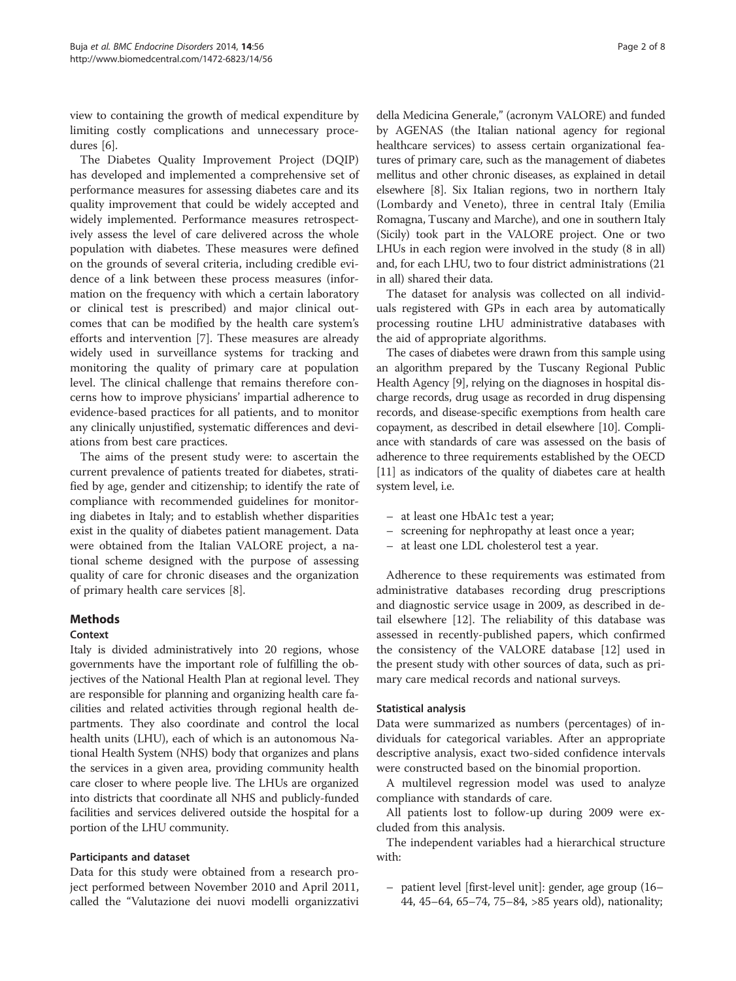view to containing the growth of medical expenditure by limiting costly complications and unnecessary procedures [\[6](#page-6-0)].

The Diabetes Quality Improvement Project (DQIP) has developed and implemented a comprehensive set of performance measures for assessing diabetes care and its quality improvement that could be widely accepted and widely implemented. Performance measures retrospectively assess the level of care delivered across the whole population with diabetes. These measures were defined on the grounds of several criteria, including credible evidence of a link between these process measures (information on the frequency with which a certain laboratory or clinical test is prescribed) and major clinical outcomes that can be modified by the health care system's efforts and intervention [[7\]](#page-6-0). These measures are already widely used in surveillance systems for tracking and monitoring the quality of primary care at population level. The clinical challenge that remains therefore concerns how to improve physicians' impartial adherence to evidence-based practices for all patients, and to monitor any clinically unjustified, systematic differences and deviations from best care practices.

The aims of the present study were: to ascertain the current prevalence of patients treated for diabetes, stratified by age, gender and citizenship; to identify the rate of compliance with recommended guidelines for monitoring diabetes in Italy; and to establish whether disparities exist in the quality of diabetes patient management. Data were obtained from the Italian VALORE project, a national scheme designed with the purpose of assessing quality of care for chronic diseases and the organization of primary health care services [[8](#page-6-0)].

# Methods

# **Context**

Italy is divided administratively into 20 regions, whose governments have the important role of fulfilling the objectives of the National Health Plan at regional level. They are responsible for planning and organizing health care facilities and related activities through regional health departments. They also coordinate and control the local health units (LHU), each of which is an autonomous National Health System (NHS) body that organizes and plans the services in a given area, providing community health care closer to where people live. The LHUs are organized into districts that coordinate all NHS and publicly-funded facilities and services delivered outside the hospital for a portion of the LHU community.

#### Participants and dataset

Data for this study were obtained from a research project performed between November 2010 and April 2011, called the "Valutazione dei nuovi modelli organizzativi

della Medicina Generale," (acronym VALORE) and funded by AGENAS (the Italian national agency for regional healthcare services) to assess certain organizational features of primary care, such as the management of diabetes mellitus and other chronic diseases, as explained in detail elsewhere [\[8](#page-6-0)]. Six Italian regions, two in northern Italy (Lombardy and Veneto), three in central Italy (Emilia Romagna, Tuscany and Marche), and one in southern Italy (Sicily) took part in the VALORE project. One or two LHUs in each region were involved in the study (8 in all) and, for each LHU, two to four district administrations (21 in all) shared their data.

The dataset for analysis was collected on all individuals registered with GPs in each area by automatically processing routine LHU administrative databases with the aid of appropriate algorithms.

The cases of diabetes were drawn from this sample using an algorithm prepared by the Tuscany Regional Public Health Agency [\[9\]](#page-6-0), relying on the diagnoses in hospital discharge records, drug usage as recorded in drug dispensing records, and disease-specific exemptions from health care copayment, as described in detail elsewhere [\[10](#page-6-0)]. Compliance with standards of care was assessed on the basis of adherence to three requirements established by the OECD [[11](#page-6-0)] as indicators of the quality of diabetes care at health system level, i.e.

- at least one HbA1c test a year;
- screening for nephropathy at least once a year;
- at least one LDL cholesterol test a year.

Adherence to these requirements was estimated from administrative databases recording drug prescriptions and diagnostic service usage in 2009, as described in detail elsewhere [\[12](#page-6-0)]. The reliability of this database was assessed in recently-published papers, which confirmed the consistency of the VALORE database [\[12](#page-6-0)] used in the present study with other sources of data, such as primary care medical records and national surveys.

#### Statistical analysis

Data were summarized as numbers (percentages) of individuals for categorical variables. After an appropriate descriptive analysis, exact two-sided confidence intervals were constructed based on the binomial proportion.

A multilevel regression model was used to analyze compliance with standards of care.

All patients lost to follow-up during 2009 were excluded from this analysis.

The independent variables had a hierarchical structure with:

– patient level [first-level unit]: gender, age group (16– 44, 45–64, 65–74, 75–84, >85 years old), nationality;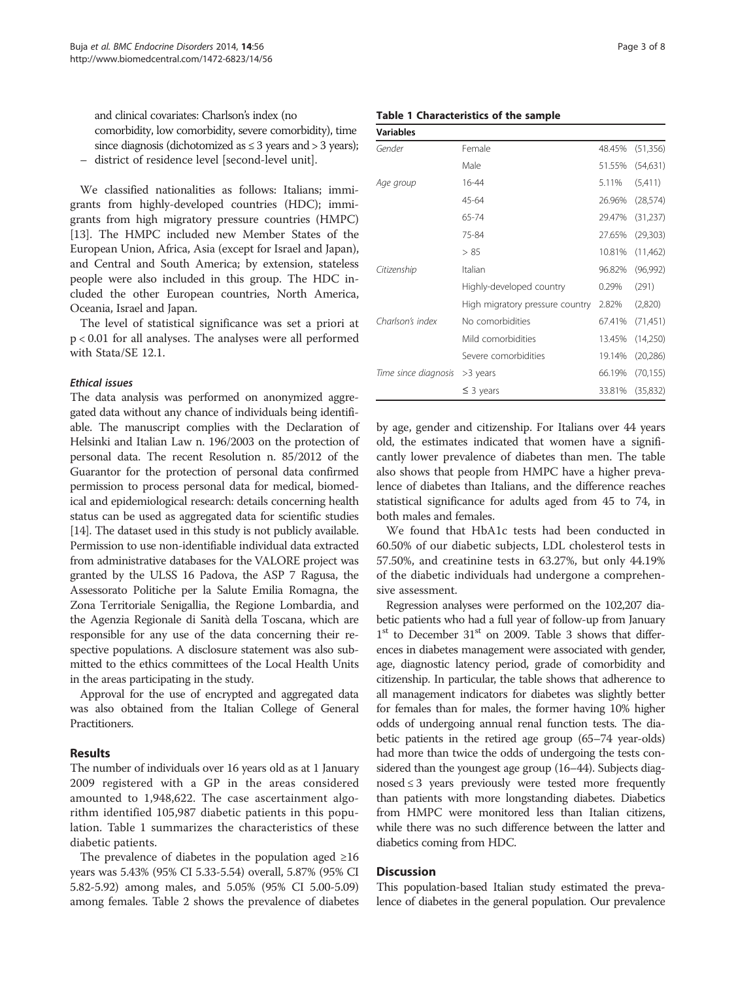and clinical covariates: Charlson's index (no comorbidity, low comorbidity, severe comorbidity), time since diagnosis (dichotomized as  $\leq$  3 years and  $>$  3 years);

– district of residence level [second-level unit].

We classified nationalities as follows: Italians; immigrants from highly-developed countries (HDC); immigrants from high migratory pressure countries (HMPC) [[13](#page-6-0)]. The HMPC included new Member States of the European Union, Africa, Asia (except for Israel and Japan), and Central and South America; by extension, stateless people were also included in this group. The HDC included the other European countries, North America, Oceania, Israel and Japan.

The level of statistical significance was set a priori at p < 0.01 for all analyses. The analyses were all performed with Stata/SE 12.1.

#### Ethical issues

The data analysis was performed on anonymized aggregated data without any chance of individuals being identifiable. The manuscript complies with the Declaration of Helsinki and Italian Law n. 196/2003 on the protection of personal data. The recent Resolution n. 85/2012 of the Guarantor for the protection of personal data confirmed permission to process personal data for medical, biomedical and epidemiological research: details concerning health status can be used as aggregated data for scientific studies [[14](#page-6-0)]. The dataset used in this study is not publicly available. Permission to use non-identifiable individual data extracted from administrative databases for the VALORE project was granted by the ULSS 16 Padova, the ASP 7 Ragusa, the Assessorato Politiche per la Salute Emilia Romagna, the Zona Territoriale Senigallia, the Regione Lombardia, and the Agenzia Regionale di Sanità della Toscana, which are responsible for any use of the data concerning their respective populations. A disclosure statement was also submitted to the ethics committees of the Local Health Units in the areas participating in the study.

Approval for the use of encrypted and aggregated data was also obtained from the Italian College of General Practitioners.

## Results

The number of individuals over 16 years old as at 1 January 2009 registered with a GP in the areas considered amounted to 1,948,622. The case ascertainment algorithm identified 105,987 diabetic patients in this population. Table 1 summarizes the characteristics of these diabetic patients.

The prevalence of diabetes in the population aged ≥16 years was 5.43% (95% CI 5.33-5.54) overall, 5.87% (95% CI 5.82-5.92) among males, and 5.05% (95% CI 5.00-5.09) among females. Table [2](#page-3-0) shows the prevalence of diabetes

# Table 1 Characteristics of the sample

|   | ٠. |  |
|---|----|--|
| × |    |  |

| Gender               | Female                          | 48.45% | (51, 356) |
|----------------------|---------------------------------|--------|-----------|
|                      | Male                            | 51.55% | (54,631)  |
| Age group            | 16-44                           | 5.11%  | (5,411)   |
|                      | 45-64                           | 26.96% | (28, 574) |
|                      | 65-74                           | 29.47% | (31, 237) |
|                      | 75-84                           | 27.65% | (29,303)  |
|                      | > 85                            | 10.81% | (11,462)  |
| Citizenship          | Italian                         | 96.82% | (96,992)  |
|                      | Highly-developed country        | 0.29%  | (291)     |
|                      | High migratory pressure country | 2.82%  | (2,820)   |
| Charlson's index     | No comorbidities                | 67.41% | (71, 451) |
|                      | Mild comorbidities              | 13.45% | (14,250)  |
|                      | Severe comorbidities            | 19.14% | (20, 286) |
| Time since diagnosis | >3 years                        | 66.19% | (70, 155) |
|                      | $\leq$ 3 years                  | 33.81% | (35,832)  |

by age, gender and citizenship. For Italians over 44 years old, the estimates indicated that women have a significantly lower prevalence of diabetes than men. The table also shows that people from HMPC have a higher prevalence of diabetes than Italians, and the difference reaches statistical significance for adults aged from 45 to 74, in both males and females.

We found that HbA1c tests had been conducted in 60.50% of our diabetic subjects, LDL cholesterol tests in 57.50%, and creatinine tests in 63.27%, but only 44.19% of the diabetic individuals had undergone a comprehensive assessment.

Regression analyses were performed on the 102,207 diabetic patients who had a full year of follow-up from January  $1<sup>st</sup>$  to December  $31<sup>st</sup>$  on 2009. Table [3](#page-4-0) shows that differences in diabetes management were associated with gender, age, diagnostic latency period, grade of comorbidity and citizenship. In particular, the table shows that adherence to all management indicators for diabetes was slightly better for females than for males, the former having 10% higher odds of undergoing annual renal function tests. The diabetic patients in the retired age group (65–74 year-olds) had more than twice the odds of undergoing the tests considered than the youngest age group (16–44). Subjects diagnosed  $\leq$  3 years previously were tested more frequently than patients with more longstanding diabetes. Diabetics from HMPC were monitored less than Italian citizens, while there was no such difference between the latter and diabetics coming from HDC.

#### Discussion

This population-based Italian study estimated the prevalence of diabetes in the general population. Our prevalence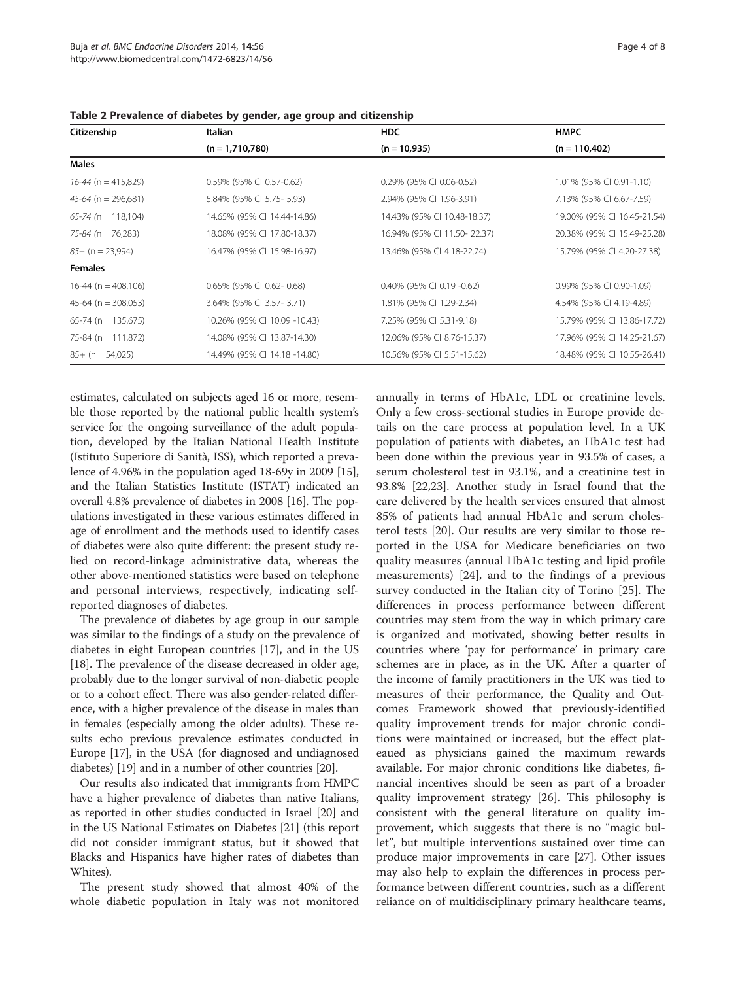| Citizenship             | Italian                      | <b>HDC</b>                  | <b>HMPC</b>                 |
|-------------------------|------------------------------|-----------------------------|-----------------------------|
|                         | $(n = 1,710,780)$            | $(n = 10,935)$              | $(n = 110,402)$             |
| <b>Males</b>            |                              |                             |                             |
| $16-44$ (n = 415,829)   | 0.59% (95% CI 0.57-0.62)     | 0.29% (95% CI 0.06-0.52)    | 1.01% (95% CI 0.91-1.10)    |
| $45-64$ (n = 296,681)   | 5.84% (95% CI 5.75- 5.93)    | 2.94% (95% CI 1.96-3.91)    | 7.13% (95% CI 6.67-7.59)    |
| $65 - 74$ (n = 118,104) | 14.65% (95% CI 14.44-14.86)  | 14.43% (95% CI 10.48-18.37) | 19.00% (95% CI 16.45-21.54) |
| $75-84$ (n = 76,283)    | 18.08% (95% CI 17.80-18.37)  | 16.94% (95% CI 11.50-22.37) | 20.38% (95% CI 15.49-25.28) |
| $85+ (n = 23,994)$      | 16.47% (95% CI 15.98-16.97)  | 13.46% (95% CI 4.18-22.74)  | 15.79% (95% CI 4.20-27.38)  |
| <b>Females</b>          |                              |                             |                             |
| 16-44 (n = 408,106)     | 0.65% (95% CI 0.62-0.68)     | 0.40% (95% CI 0.19 -0.62)   | 0.99% (95% CI 0.90-1.09)    |
| 45-64 (n = $308,053$ )  | 3.64% (95% CI 3.57-3.71)     | 1.81% (95% CI 1.29-2.34)    | 4.54% (95% CI 4.19-4.89)    |
| $65-74$ (n = 135,675)   | 10.26% (95% CI 10.09 -10.43) | 7.25% (95% CI 5.31-9.18)    | 15.79% (95% CI 13.86-17.72) |
| 75-84 (n = 111,872)     | 14.08% (95% CI 13.87-14.30)  | 12.06% (95% CI 8.76-15.37)  | 17.96% (95% CI 14.25-21.67) |
| $85+ (n = 54,025)$      | 14.49% (95% CI 14.18 -14.80) | 10.56% (95% CI 5.51-15.62)  | 18.48% (95% CI 10.55-26.41) |

<span id="page-3-0"></span>Table 2 Prevalence of diabetes by gender, age group and citizenship

estimates, calculated on subjects aged 16 or more, resemble those reported by the national public health system's service for the ongoing surveillance of the adult population, developed by the Italian National Health Institute (Istituto Superiore di Sanità, ISS), which reported a prevalence of 4.96% in the population aged 18-69y in 2009 [[15](#page-6-0)], and the Italian Statistics Institute (ISTAT) indicated an overall 4.8% prevalence of diabetes in 2008 [\[16\]](#page-6-0). The populations investigated in these various estimates differed in age of enrollment and the methods used to identify cases of diabetes were also quite different: the present study relied on record-linkage administrative data, whereas the other above-mentioned statistics were based on telephone and personal interviews, respectively, indicating selfreported diagnoses of diabetes.

The prevalence of diabetes by age group in our sample was similar to the findings of a study on the prevalence of diabetes in eight European countries [[17](#page-6-0)], and in the US [[18](#page-6-0)]. The prevalence of the disease decreased in older age, probably due to the longer survival of non-diabetic people or to a cohort effect. There was also gender-related difference, with a higher prevalence of the disease in males than in females (especially among the older adults). These results echo previous prevalence estimates conducted in Europe [\[17\]](#page-6-0), in the USA (for diagnosed and undiagnosed diabetes) [[19](#page-7-0)] and in a number of other countries [[20](#page-7-0)].

Our results also indicated that immigrants from HMPC have a higher prevalence of diabetes than native Italians, as reported in other studies conducted in Israel [\[20\]](#page-7-0) and in the US National Estimates on Diabetes [[21](#page-7-0)] (this report did not consider immigrant status, but it showed that Blacks and Hispanics have higher rates of diabetes than Whites).

The present study showed that almost 40% of the whole diabetic population in Italy was not monitored

annually in terms of HbA1c, LDL or creatinine levels. Only a few cross-sectional studies in Europe provide details on the care process at population level. In a UK population of patients with diabetes, an HbA1c test had been done within the previous year in 93.5% of cases, a serum cholesterol test in 93.1%, and a creatinine test in 93.8% [[22,23\]](#page-7-0). Another study in Israel found that the care delivered by the health services ensured that almost 85% of patients had annual HbA1c and serum cholesterol tests [\[20](#page-7-0)]. Our results are very similar to those reported in the USA for Medicare beneficiaries on two quality measures (annual HbA1c testing and lipid profile measurements) [\[24\]](#page-7-0), and to the findings of a previous survey conducted in the Italian city of Torino [[25](#page-7-0)]. The differences in process performance between different countries may stem from the way in which primary care is organized and motivated, showing better results in countries where 'pay for performance' in primary care schemes are in place, as in the UK. After a quarter of the income of family practitioners in the UK was tied to measures of their performance, the Quality and Outcomes Framework showed that previously-identified quality improvement trends for major chronic conditions were maintained or increased, but the effect plateaued as physicians gained the maximum rewards available. For major chronic conditions like diabetes, financial incentives should be seen as part of a broader quality improvement strategy [\[26](#page-7-0)]. This philosophy is consistent with the general literature on quality improvement, which suggests that there is no "magic bullet", but multiple interventions sustained over time can produce major improvements in care [[27\]](#page-7-0). Other issues may also help to explain the differences in process performance between different countries, such as a different reliance on of multidisciplinary primary healthcare teams,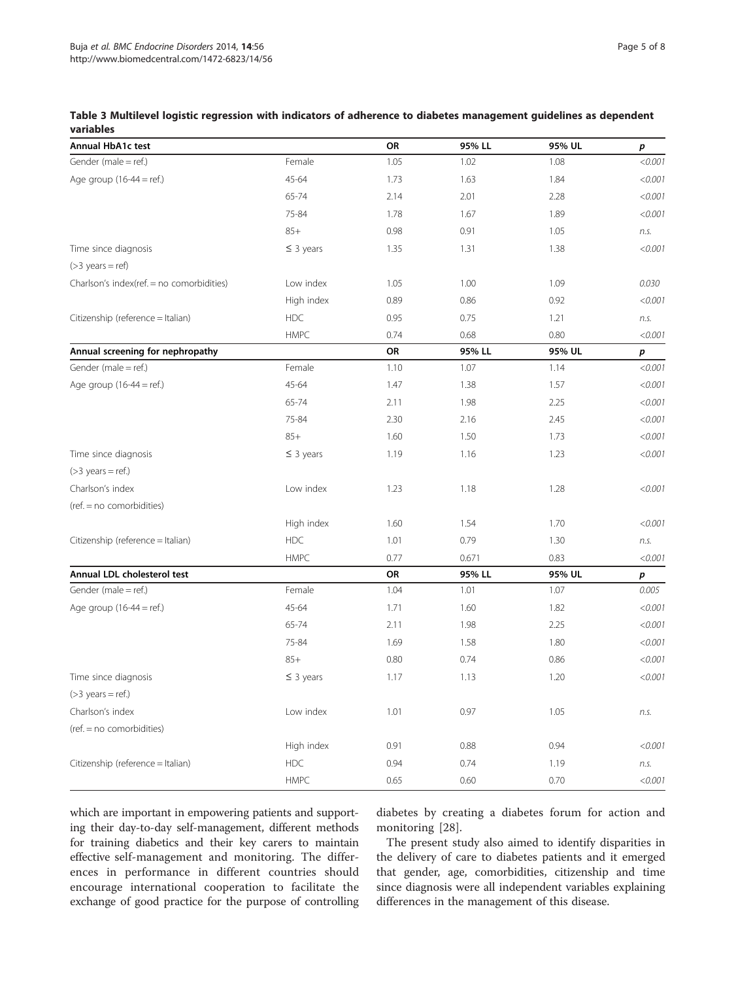<span id="page-4-0"></span>

|           | Table 3 Multilevel logistic regression with indicators of adherence to diabetes management guidelines as dependent |  |  |
|-----------|--------------------------------------------------------------------------------------------------------------------|--|--|
| variables |                                                                                                                    |  |  |

| Annual HbA1c test                         |                | OR   | 95% LL | 95% UL | р       |
|-------------------------------------------|----------------|------|--------|--------|---------|
| Gender (male = ref.)                      | Female         | 1.05 | 1.02   | 1.08   | < 0.001 |
| Age group $(16-44 = ref.)$                | 45-64          | 1.73 | 1.63   | 1.84   | < 0.001 |
|                                           | 65-74          | 2.14 | 2.01   | 2.28   | < 0.001 |
|                                           | 75-84          | 1.78 | 1.67   | 1.89   | < 0.001 |
|                                           | $85+$          | 0.98 | 0.91   | 1.05   | n.s.    |
| Time since diagnosis                      | $\leq$ 3 years | 1.35 | 1.31   | 1.38   | < 0.001 |
| $($ >3 years = ref)                       |                |      |        |        |         |
| Charlson's index(ref. = no comorbidities) | Low index      | 1.05 | 1.00   | 1.09   | 0.030   |
|                                           | High index     | 0.89 | 0.86   | 0.92   | < 0.001 |
| Citizenship (reference = Italian)         | HDC            | 0.95 | 0.75   | 1.21   | n.s.    |
|                                           | <b>HMPC</b>    | 0.74 | 0.68   | 0.80   | < 0.001 |
| Annual screening for nephropathy          |                | OR   | 95% LL | 95% UL | p       |
| Gender (male = ref.)                      | Female         | 1.10 | 1.07   | 1.14   | < 0.001 |
| Age group $(16-44 = ref.)$                | 45-64          | 1.47 | 1.38   | 1.57   | < 0.001 |
|                                           | 65-74          | 2.11 | 1.98   | 2.25   | < 0.001 |
|                                           | 75-84          | 2.30 | 2.16   | 2.45   | < 0.001 |
|                                           | $85+$          | 1.60 | 1.50   | 1.73   | < 0.001 |
| Time since diagnosis                      | $\leq$ 3 years | 1.19 | 1.16   | 1.23   | < 0.001 |
| $($ >3 years = ref.)                      |                |      |        |        |         |
| Charlson's index                          | Low index      | 1.23 | 1.18   | 1.28   | < 0.001 |
| (ref. = no comorbidities)                 |                |      |        |        |         |
|                                           | High index     | 1.60 | 1.54   | 1.70   | < 0.001 |
| Citizenship (reference = Italian)         | <b>HDC</b>     | 1.01 | 0.79   | 1.30   | n.s.    |
|                                           | <b>HMPC</b>    | 0.77 | 0.671  | 0.83   | < 0.001 |
| Annual LDL cholesterol test               |                | OR   | 95% LL | 95% UL | р       |
| Gender (male = ref.)                      | Female         | 1.04 | 1.01   | 1.07   | 0.005   |
| Age group $(16-44 = ref.)$                | 45-64          | 1.71 | 1.60   | 1.82   | < 0.001 |
|                                           | 65-74          | 2.11 | 1.98   | 2.25   | < 0.001 |
|                                           | 75-84          | 1.69 | 1.58   | 1.80   | < 0.001 |
|                                           | $85+$          | 0.80 | 0.74   | 0.86   | < 0.001 |
| Time since diagnosis                      | $\leq$ 3 years | 1.17 | 1.13   | 1.20   | < 0.001 |
| $($ >3 years = ref.)                      |                |      |        |        |         |
| Charlson's index                          | Low index      | 1.01 | 0.97   | 1.05   | n.s.    |
| $(ref = no$ comorbidities)                |                |      |        |        |         |
|                                           | High index     | 0.91 | 0.88   | 0.94   | < 0.001 |
| Citizenship (reference = Italian)         | HDC            | 0.94 | 0.74   | 1.19   | n.s.    |
|                                           | <b>HMPC</b>    | 0.65 | 0.60   | 0.70   | < 0.001 |

which are important in empowering patients and supporting their day-to-day self-management, different methods for training diabetics and their key carers to maintain effective self-management and monitoring. The differences in performance in different countries should encourage international cooperation to facilitate the exchange of good practice for the purpose of controlling

diabetes by creating a diabetes forum for action and monitoring [[28\]](#page-7-0).

The present study also aimed to identify disparities in the delivery of care to diabetes patients and it emerged that gender, age, comorbidities, citizenship and time since diagnosis were all independent variables explaining differences in the management of this disease.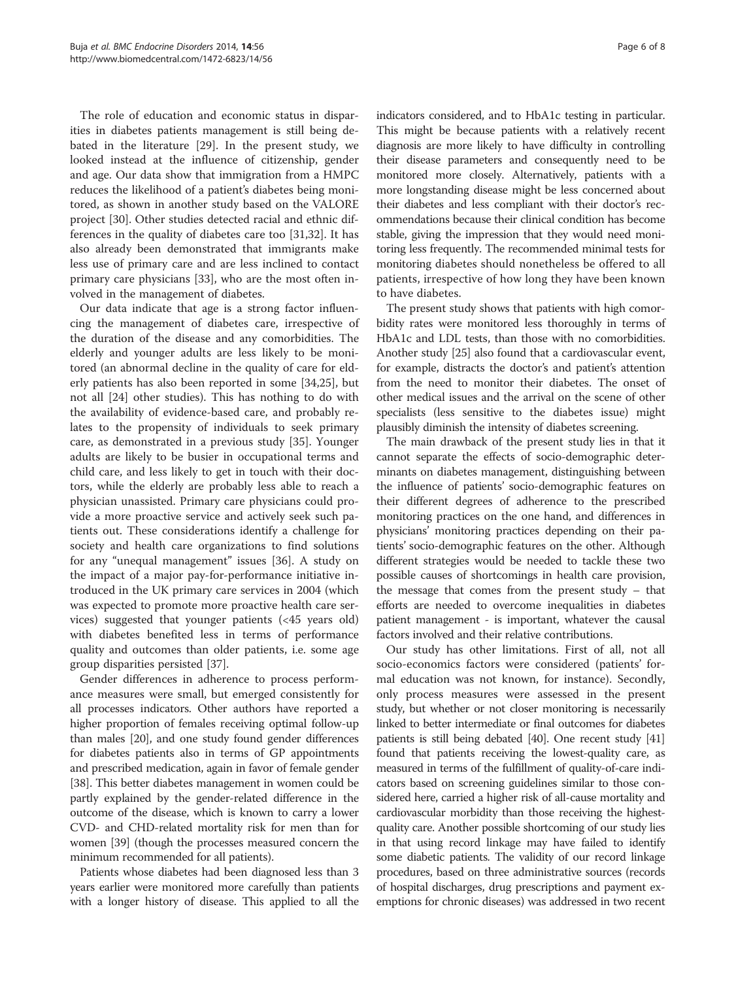The role of education and economic status in disparities in diabetes patients management is still being debated in the literature [[29](#page-7-0)]. In the present study, we looked instead at the influence of citizenship, gender and age. Our data show that immigration from a HMPC reduces the likelihood of a patient's diabetes being monitored, as shown in another study based on the VALORE project [\[30](#page-7-0)]. Other studies detected racial and ethnic differences in the quality of diabetes care too [\[31,32](#page-7-0)]. It has also already been demonstrated that immigrants make less use of primary care and are less inclined to contact primary care physicians [\[33](#page-7-0)], who are the most often involved in the management of diabetes.

Our data indicate that age is a strong factor influencing the management of diabetes care, irrespective of the duration of the disease and any comorbidities. The elderly and younger adults are less likely to be monitored (an abnormal decline in the quality of care for elderly patients has also been reported in some [[34](#page-7-0),[25](#page-7-0)], but not all [[24\]](#page-7-0) other studies). This has nothing to do with the availability of evidence-based care, and probably relates to the propensity of individuals to seek primary care, as demonstrated in a previous study [\[35\]](#page-7-0). Younger adults are likely to be busier in occupational terms and child care, and less likely to get in touch with their doctors, while the elderly are probably less able to reach a physician unassisted. Primary care physicians could provide a more proactive service and actively seek such patients out. These considerations identify a challenge for society and health care organizations to find solutions for any "unequal management" issues [\[36\]](#page-7-0). A study on the impact of a major pay-for-performance initiative introduced in the UK primary care services in 2004 (which was expected to promote more proactive health care services) suggested that younger patients (<45 years old) with diabetes benefited less in terms of performance quality and outcomes than older patients, i.e. some age group disparities persisted [\[37](#page-7-0)].

Gender differences in adherence to process performance measures were small, but emerged consistently for all processes indicators. Other authors have reported a higher proportion of females receiving optimal follow-up than males [\[20\]](#page-7-0), and one study found gender differences for diabetes patients also in terms of GP appointments and prescribed medication, again in favor of female gender [[38](#page-7-0)]. This better diabetes management in women could be partly explained by the gender-related difference in the outcome of the disease, which is known to carry a lower CVD- and CHD-related mortality risk for men than for women [[39](#page-7-0)] (though the processes measured concern the minimum recommended for all patients).

Patients whose diabetes had been diagnosed less than 3 years earlier were monitored more carefully than patients with a longer history of disease. This applied to all the

indicators considered, and to HbA1c testing in particular. This might be because patients with a relatively recent diagnosis are more likely to have difficulty in controlling their disease parameters and consequently need to be monitored more closely. Alternatively, patients with a more longstanding disease might be less concerned about their diabetes and less compliant with their doctor's recommendations because their clinical condition has become stable, giving the impression that they would need monitoring less frequently. The recommended minimal tests for monitoring diabetes should nonetheless be offered to all patients, irrespective of how long they have been known to have diabetes.

The present study shows that patients with high comorbidity rates were monitored less thoroughly in terms of HbA1c and LDL tests, than those with no comorbidities. Another study [\[25](#page-7-0)] also found that a cardiovascular event, for example, distracts the doctor's and patient's attention from the need to monitor their diabetes. The onset of other medical issues and the arrival on the scene of other specialists (less sensitive to the diabetes issue) might plausibly diminish the intensity of diabetes screening.

The main drawback of the present study lies in that it cannot separate the effects of socio-demographic determinants on diabetes management, distinguishing between the influence of patients' socio-demographic features on their different degrees of adherence to the prescribed monitoring practices on the one hand, and differences in physicians' monitoring practices depending on their patients' socio-demographic features on the other. Although different strategies would be needed to tackle these two possible causes of shortcomings in health care provision, the message that comes from the present study – that efforts are needed to overcome inequalities in diabetes patient management - is important, whatever the causal factors involved and their relative contributions.

Our study has other limitations. First of all, not all socio-economics factors were considered (patients' formal education was not known, for instance). Secondly, only process measures were assessed in the present study, but whether or not closer monitoring is necessarily linked to better intermediate or final outcomes for diabetes patients is still being debated [\[40](#page-7-0)]. One recent study [\[41](#page-7-0)] found that patients receiving the lowest-quality care, as measured in terms of the fulfillment of quality-of-care indicators based on screening guidelines similar to those considered here, carried a higher risk of all-cause mortality and cardiovascular morbidity than those receiving the highestquality care. Another possible shortcoming of our study lies in that using record linkage may have failed to identify some diabetic patients. The validity of our record linkage procedures, based on three administrative sources (records of hospital discharges, drug prescriptions and payment exemptions for chronic diseases) was addressed in two recent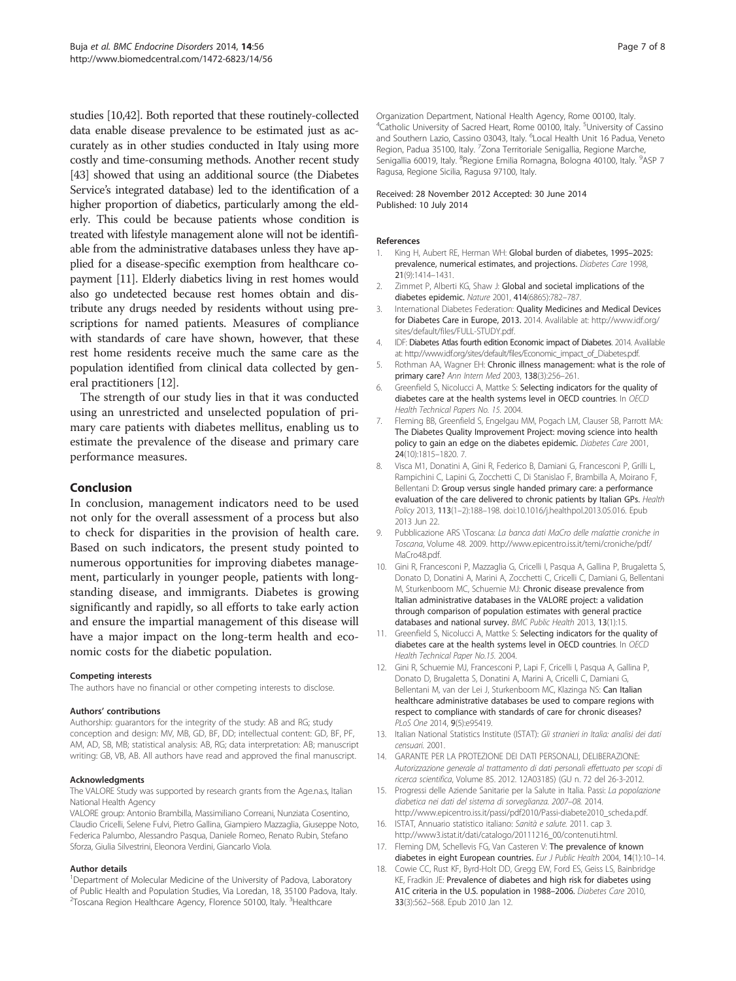<span id="page-6-0"></span>studies [10[,42](#page-7-0)]. Both reported that these routinely-collected data enable disease prevalence to be estimated just as accurately as in other studies conducted in Italy using more costly and time-consuming methods. Another recent study [[43](#page-7-0)] showed that using an additional source (the Diabetes Service's integrated database) led to the identification of a higher proportion of diabetics, particularly among the elderly. This could be because patients whose condition is treated with lifestyle management alone will not be identifiable from the administrative databases unless they have applied for a disease-specific exemption from healthcare copayment [11]. Elderly diabetics living in rest homes would also go undetected because rest homes obtain and distribute any drugs needed by residents without using prescriptions for named patients. Measures of compliance with standards of care have shown, however, that these rest home residents receive much the same care as the population identified from clinical data collected by general practitioners [12].

The strength of our study lies in that it was conducted using an unrestricted and unselected population of primary care patients with diabetes mellitus, enabling us to estimate the prevalence of the disease and primary care performance measures.

# Conclusion

In conclusion, management indicators need to be used not only for the overall assessment of a process but also to check for disparities in the provision of health care. Based on such indicators, the present study pointed to numerous opportunities for improving diabetes management, particularly in younger people, patients with longstanding disease, and immigrants. Diabetes is growing significantly and rapidly, so all efforts to take early action and ensure the impartial management of this disease will have a major impact on the long-term health and economic costs for the diabetic population.

#### Competing interests

The authors have no financial or other competing interests to disclose.

#### Authors' contributions

Authorship: guarantors for the integrity of the study: AB and RG; study conception and design: MV, MB, GD, BF, DD; intellectual content: GD, BF, PF, AM, AD, SB, MB; statistical analysis: AB, RG; data interpretation: AB; manuscript writing: GB, VB, AB. All authors have read and approved the final manuscript.

#### Acknowledgments

The VALORE Study was supported by research grants from the Age.na.s, Italian National Health Agency

VALORE group: Antonio Brambilla, Massimiliano Correani, Nunziata Cosentino, Claudio Cricelli, Selene Fulvi, Pietro Gallina, Giampiero Mazzaglia, Giuseppe Noto, Federica Palumbo, Alessandro Pasqua, Daniele Romeo, Renato Rubin, Stefano Sforza, Giulia Silvestrini, Eleonora Verdini, Giancarlo Viola.

#### Author details

<sup>1</sup>Department of Molecular Medicine of the University of Padova, Laboratory of Public Health and Population Studies, Via Loredan, 18, 35100 Padova, Italy. <sup>2</sup>Toscana Region Healthcare Agency, Florence 50100, Italy. <sup>3</sup>Healthcare

Organization Department, National Health Agency, Rome 00100, Italy. <sup>4</sup>Catholic University of Sacred Heart, Rome 00100, Italy. <sup>5</sup>University of Cassinc and Southern Lazio, Cassino 03043, Italy. <sup>6</sup>Local Health Unit 16 Padua, Veneto Region, Padua 35100, Italy. <sup>7</sup>Zona Territoriale Senigallia, Regione Marche, Senigallia 60019, Italy. <sup>8</sup>Regione Emilia Romagna, Bologna 40100, Italy. <sup>9</sup>ASP 7 Ragusa, Regione Sicilia, Ragusa 97100, Italy.

#### Received: 28 November 2012 Accepted: 30 June 2014 Published: 10 July 2014

#### References

- 1. King H, Aubert RE, Herman WH: Global burden of diabetes, 1995–2025: prevalence, numerical estimates, and projections. Diabetes Care 1998, 21(9):1414–1431.
- 2. Zimmet P, Alberti KG, Shaw J: Global and societal implications of the diabetes epidemic. Nature 2001, 414(6865):782–787.
- 3. International Diabetes Federation: Quality Medicines and Medical Devices for Diabetes Care in Europe, 2013. 2014. Avalilable at: [http://www.idf.org/](http://www.idf.org/sites/default/files/FULL-STUDY.pdf) sites/default/files/FULL-STUDY.pdf
- 4. IDF: Diabetes Atlas fourth edition Economic impact of Diabetes. 2014. Avalilable at: [http://www.idf.org/sites/default/files/Economic\\_impact\\_of\\_Diabetes.pdf.](http://www.idf.org/sites/default/files/Economic_impact_of_Diabetes.pdf)
- 5. Rothman AA, Wagner EH: Chronic illness management: what is the role of primary care? Ann Intern Med 2003, 138(3):256–261.
- 6. Greenfield S, Nicolucci A, Mattke S: Selecting indicators for the quality of diabetes care at the health systems level in OECD countries. In OECD Health Technical Papers No. 15. 2004.
- 7. Fleming BB, Greenfield S, Engelgau MM, Pogach LM, Clauser SB, Parrott MA: The Diabetes Quality Improvement Project: moving science into health policy to gain an edge on the diabetes epidemic. Diabetes Care 2001, 24(10):1815–1820. 7.
- 8. Visca M1, Donatini A, Gini R, Federico B, Damiani G, Francesconi P, Grilli L, Rampichini C, Lapini G, Zocchetti C, Di Stanislao F, Brambilla A, Moirano F, Bellentani D: Group versus single handed primary care: a performance evaluation of the care delivered to chronic patients by Italian GPs. Health Policy 2013, 113(1–2):188–198. doi:10.1016/j.healthpol.2013.05.016. Epub 2013 Jun 22.
- 9. Pubblicazione ARS \Toscana: La banca dati MaCro delle malattie croniche in Toscana, Volume 48. 2009. [http://www.epicentro.iss.it/temi/croniche/pdf/](http://www.epicentro.iss.it/temi/croniche/pdf/MaCro48.pdf) [MaCro48.pdf.](http://www.epicentro.iss.it/temi/croniche/pdf/MaCro48.pdf)
- 10. Gini R, Francesconi P, Mazzaglia G, Cricelli I, Pasqua A, Gallina P, Brugaletta S, Donato D, Donatini A, Marini A, Zocchetti C, Cricelli C, Damiani G, Bellentani M, Sturkenboom MC, Schuemie MJ: Chronic disease prevalence from Italian administrative databases in the VALORE project: a validation through comparison of population estimates with general practice databases and national survey. BMC Public Health 2013, 13(1):15.
- 11. Greenfield S, Nicolucci A, Mattke S: Selecting indicators for the quality of diabetes care at the health systems level in OECD countries. In OECD Health Technical Paper No.15. 2004.
- 12. Gini R, Schuemie MJ, Francesconi P, Lapi F, Cricelli I, Pasqua A, Gallina P, Donato D, Brugaletta S, Donatini A, Marini A, Cricelli C, Damiani G, Bellentani M, van der Lei J, Sturkenboom MC, Klazinga NS: Can Italian healthcare administrative databases be used to compare regions with respect to compliance with standards of care for chronic diseases? PLoS One 2014, 9(5):e95419.
- 13. Italian National Statistics Institute (ISTAT): Gli stranieri in Italia: analisi dei dati censuari. 2001.
- 14. GARANTE PER LA PROTEZIONE DEI DATI PERSONALI, DELIBERAZIONE: Autorizzazione generale al trattamento di dati personali effettuato per scopi di ricerca scientifica, Volume 85. 2012. 12A03185) (GU n. 72 del 26-3-2012.
- 15. Progressi delle Aziende Sanitarie per la Salute in Italia. Passi: La popolazione diabetica nei dati del sistema di sorveglianza. 2007–08. 2014. [http://www.epicentro.iss.it/passi/pdf2010/Passi-diabete2010\\_scheda.pdf](http://www.epicentro.iss.it/passi/pdf2010/Passi-diabete2010_scheda.pdf).
- 16. ISTAT, Annuario statistico italiano: Sanità e salute. 2011. cap 3. [http://www3.istat.it/dati/catalogo/20111216\\_00/contenuti.html.](http://www3.istat.it/dati/catalogo/20111216_00/contenuti.html)
- 17. Fleming DM, Schellevis FG, Van Casteren V: The prevalence of known diabetes in eight European countries. Eur J Public Health 2004, 14(1):10-14.
- 18. Cowie CC, Rust KF, Byrd-Holt DD, Gregg EW, Ford ES, Geiss LS, Bainbridge KE, Fradkin JE: Prevalence of diabetes and high risk for diabetes using A1C criteria in the U.S. population in 1988–2006. Diabetes Care 2010, 33(3):562–568. Epub 2010 Jan 12.